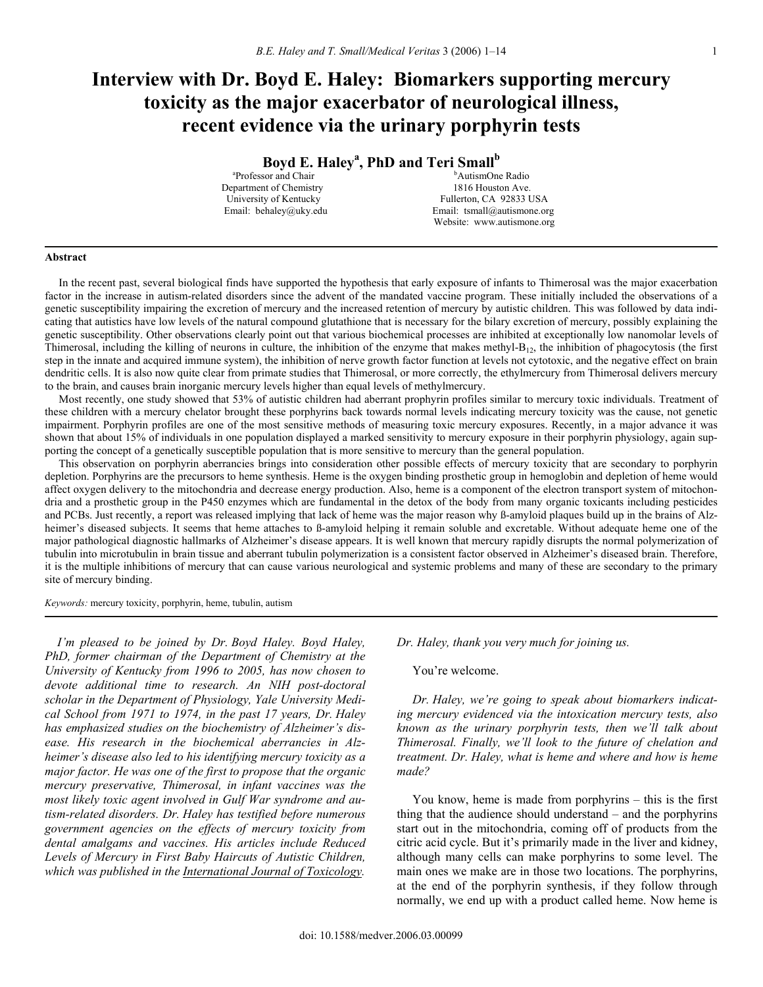# **Interview with Dr. Boyd E. Haley: Biomarkers supporting mercury toxicity as the major exacerbator of neurological illness, recent evidence via the urinary porphyrin tests**

Boyd E. Haley<sup>a</sup>, PhD and Teri Small<sup>b</sup>

a Professor and Chair b Department of Chemistry<br>University of Kentucky

<sup>b</sup>AutismOne Radio<br>1816 Houston Ave. Fullerton, CA 92833 USA Email: behaley@uky.edu Email: tsmall@autismone.org Website: www.autismone.org

#### **Abstract**

In the recent past, several biological finds have supported the hypothesis that early exposure of infants to Thimerosal was the major exacerbation factor in the increase in autism-related disorders since the advent of the mandated vaccine program. These initially included the observations of a genetic susceptibility impairing the excretion of mercury and the increased retention of mercury by autistic children. This was followed by data indicating that autistics have low levels of the natural compound glutathione that is necessary for the bilary excretion of mercury, possibly explaining the genetic susceptibility. Other observations clearly point out that various biochemical processes are inhibited at exceptionally low nanomolar levels of Thimerosal, including the killing of neurons in culture, the inhibition of the enzyme that makes methyl- $B_{12}$ , the inhibition of phagocytosis (the first step in the innate and acquired immune system), the inhibition of nerve growth factor function at levels not cytotoxic, and the negative effect on brain dendritic cells. It is also now quite clear from primate studies that Thimerosal, or more correctly, the ethylmercury from Thimerosal delivers mercury to the brain, and causes brain inorganic mercury levels higher than equal levels of methylmercury.

 Most recently, one study showed that 53% of autistic children had aberrant prophyrin profiles similar to mercury toxic individuals. Treatment of these children with a mercury chelator brought these porphyrins back towards normal levels indicating mercury toxicity was the cause, not genetic impairment. Porphyrin profiles are one of the most sensitive methods of measuring toxic mercury exposures. Recently, in a major advance it was shown that about 15% of individuals in one population displayed a marked sensitivity to mercury exposure in their porphyrin physiology, again supporting the concept of a genetically susceptible population that is more sensitive to mercury than the general population.

 This observation on porphyrin aberrancies brings into consideration other possible effects of mercury toxicity that are secondary to porphyrin depletion. Porphyrins are the precursors to heme synthesis. Heme is the oxygen binding prosthetic group in hemoglobin and depletion of heme would affect oxygen delivery to the mitochondria and decrease energy production. Also, heme is a component of the electron transport system of mitochondria and a prosthetic group in the P450 enzymes which are fundamental in the detox of the body from many organic toxicants including pesticides and PCBs. Just recently, a report was released implying that lack of heme was the major reason why ß-amyloid plaques build up in the brains of Alzheimer's diseased subjects. It seems that heme attaches to ß-amyloid helping it remain soluble and excretable. Without adequate heme one of the major pathological diagnostic hallmarks of Alzheimer's disease appears. It is well known that mercury rapidly disrupts the normal polymerization of tubulin into microtubulin in brain tissue and aberrant tubulin polymerization is a consistent factor observed in Alzheimer's diseased brain. Therefore, it is the multiple inhibitions of mercury that can cause various neurological and systemic problems and many of these are secondary to the primary site of mercury binding.

*Keywords:* mercury toxicity, porphyrin, heme, tubulin, autism

 *I'm pleased to be joined by Dr. Boyd Haley. Boyd Haley, PhD, former chairman of the Department of Chemistry at the University of Kentucky from 1996 to 2005, has now chosen to devote additional time to research. An NIH post-doctoral scholar in the Department of Physiology, Yale University Medical School from 1971 to 1974, in the past 17 years, Dr. Haley has emphasized studies on the biochemistry of Alzheimer's disease. His research in the biochemical aberrancies in Alzheimer's disease also led to his identifying mercury toxicity as a major factor. He was one of the first to propose that the organic mercury preservative, Thimerosal, in infant vaccines was the most likely toxic agent involved in Gulf War syndrome and autism-related disorders. Dr. Haley has testified before numerous government agencies on the effects of mercury toxicity from dental amalgams and vaccines. His articles include Reduced Levels of Mercury in First Baby Haircuts of Autistic Children, which was published in the International Journal of Toxicology.* 

*Dr. Haley, thank you very much for joining us.* 

You're welcome.

 *Dr. Haley, we're going to speak about biomarkers indicating mercury evidenced via the intoxication mercury tests, also known as the urinary porphyrin tests, then we'll talk about Thimerosal. Finally, we'll look to the future of chelation and treatment. Dr. Haley, what is heme and where and how is heme made?* 

 You know, heme is made from porphyrins – this is the first thing that the audience should understand – and the porphyrins start out in the mitochondria, coming off of products from the citric acid cycle. But it's primarily made in the liver and kidney, although many cells can make porphyrins to some level. The main ones we make are in those two locations. The porphyrins, at the end of the porphyrin synthesis, if they follow through normally, we end up with a product called heme. Now heme is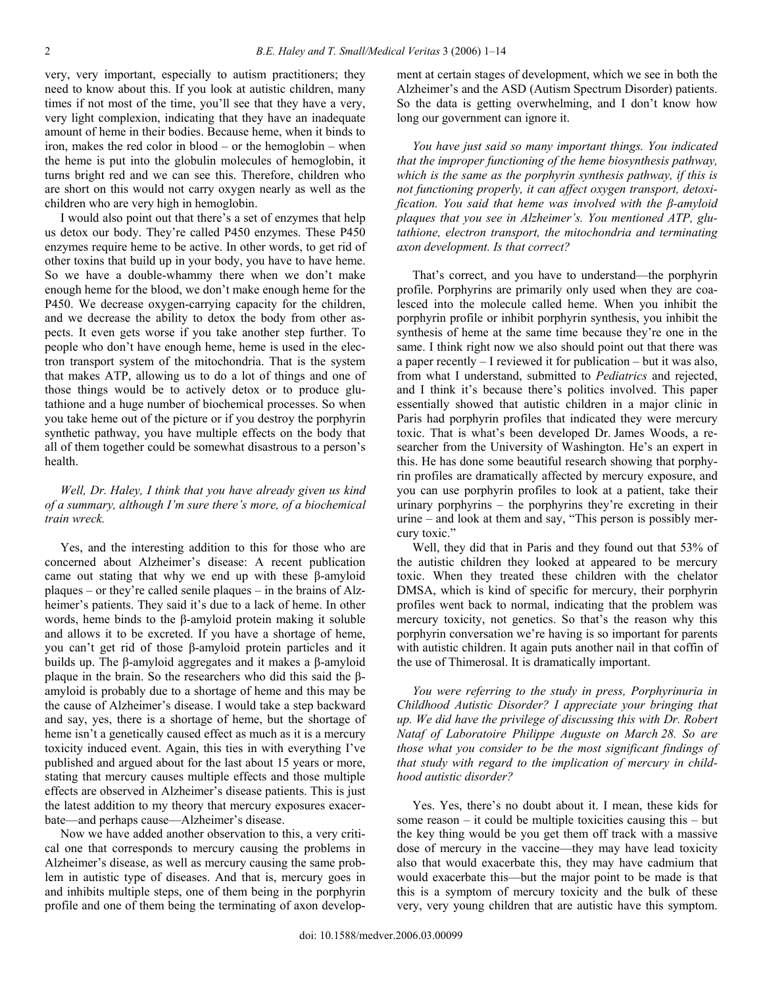very, very important, especially to autism practitioners; they need to know about this. If you look at autistic children, many times if not most of the time, you'll see that they have a very, very light complexion, indicating that they have an inadequate amount of heme in their bodies. Because heme, when it binds to iron, makes the red color in blood – or the hemoglobin – when the heme is put into the globulin molecules of hemoglobin, it turns bright red and we can see this. Therefore, children who are short on this would not carry oxygen nearly as well as the children who are very high in hemoglobin.

 I would also point out that there's a set of enzymes that help us detox our body. They're called P450 enzymes. These P450 enzymes require heme to be active. In other words, to get rid of other toxins that build up in your body, you have to have heme. So we have a double-whammy there when we don't make enough heme for the blood, we don't make enough heme for the P450. We decrease oxygen-carrying capacity for the children, and we decrease the ability to detox the body from other aspects. It even gets worse if you take another step further. To people who don't have enough heme, heme is used in the electron transport system of the mitochondria. That is the system that makes ATP, allowing us to do a lot of things and one of those things would be to actively detox or to produce glutathione and a huge number of biochemical processes. So when you take heme out of the picture or if you destroy the porphyrin synthetic pathway, you have multiple effects on the body that all of them together could be somewhat disastrous to a person's health.

## *Well, Dr. Haley, I think that you have already given us kind of a summary, although I'm sure there's more, of a biochemical train wreck.*

 Yes, and the interesting addition to this for those who are concerned about Alzheimer's disease: A recent publication came out stating that why we end up with these β-amyloid plaques – or they're called senile plaques – in the brains of Alzheimer's patients. They said it's due to a lack of heme. In other words, heme binds to the β-amyloid protein making it soluble and allows it to be excreted. If you have a shortage of heme, you can't get rid of those β-amyloid protein particles and it builds up. The β-amyloid aggregates and it makes a β-amyloid plaque in the brain. So the researchers who did this said the βamyloid is probably due to a shortage of heme and this may be the cause of Alzheimer's disease. I would take a step backward and say, yes, there is a shortage of heme, but the shortage of heme isn't a genetically caused effect as much as it is a mercury toxicity induced event. Again, this ties in with everything I've published and argued about for the last about 15 years or more, stating that mercury causes multiple effects and those multiple effects are observed in Alzheimer's disease patients. This is just the latest addition to my theory that mercury exposures exacerbate—and perhaps cause—Alzheimer's disease.

 Now we have added another observation to this, a very critical one that corresponds to mercury causing the problems in Alzheimer's disease, as well as mercury causing the same problem in autistic type of diseases. And that is, mercury goes in and inhibits multiple steps, one of them being in the porphyrin profile and one of them being the terminating of axon development at certain stages of development, which we see in both the Alzheimer's and the ASD (Autism Spectrum Disorder) patients. So the data is getting overwhelming, and I don't know how long our government can ignore it.

 *You have just said so many important things. You indicated that the improper functioning of the heme biosynthesis pathway, which is the same as the porphyrin synthesis pathway, if this is not functioning properly, it can affect oxygen transport, detoxification. You said that heme was involved with the β-amyloid plaques that you see in Alzheimer's. You mentioned ATP, glutathione, electron transport, the mitochondria and terminating axon development. Is that correct?* 

 That's correct, and you have to understand—the porphyrin profile. Porphyrins are primarily only used when they are coalesced into the molecule called heme. When you inhibit the porphyrin profile or inhibit porphyrin synthesis, you inhibit the synthesis of heme at the same time because they're one in the same. I think right now we also should point out that there was a paper recently – I reviewed it for publication – but it was also, from what I understand, submitted to *Pediatrics* and rejected, and I think it's because there's politics involved. This paper essentially showed that autistic children in a major clinic in Paris had porphyrin profiles that indicated they were mercury toxic. That is what's been developed Dr. James Woods, a researcher from the University of Washington. He's an expert in this. He has done some beautiful research showing that porphyrin profiles are dramatically affected by mercury exposure, and you can use porphyrin profiles to look at a patient, take their urinary porphyrins – the porphyrins they're excreting in their urine – and look at them and say, "This person is possibly mercury toxic."

 Well, they did that in Paris and they found out that 53% of the autistic children they looked at appeared to be mercury toxic. When they treated these children with the chelator DMSA, which is kind of specific for mercury, their porphyrin profiles went back to normal, indicating that the problem was mercury toxicity, not genetics. So that's the reason why this porphyrin conversation we're having is so important for parents with autistic children. It again puts another nail in that coffin of the use of Thimerosal. It is dramatically important.

 *You were referring to the study in press, Porphyrinuria in Childhood Autistic Disorder? I appreciate your bringing that up. We did have the privilege of discussing this with Dr. Robert Nataf of Laboratoire Philippe Auguste on March 28. So are those what you consider to be the most significant findings of that study with regard to the implication of mercury in childhood autistic disorder?* 

 Yes. Yes, there's no doubt about it. I mean, these kids for some reason  $-$  it could be multiple toxicities causing this  $-$  but the key thing would be you get them off track with a massive dose of mercury in the vaccine—they may have lead toxicity also that would exacerbate this, they may have cadmium that would exacerbate this—but the major point to be made is that this is a symptom of mercury toxicity and the bulk of these very, very young children that are autistic have this symptom.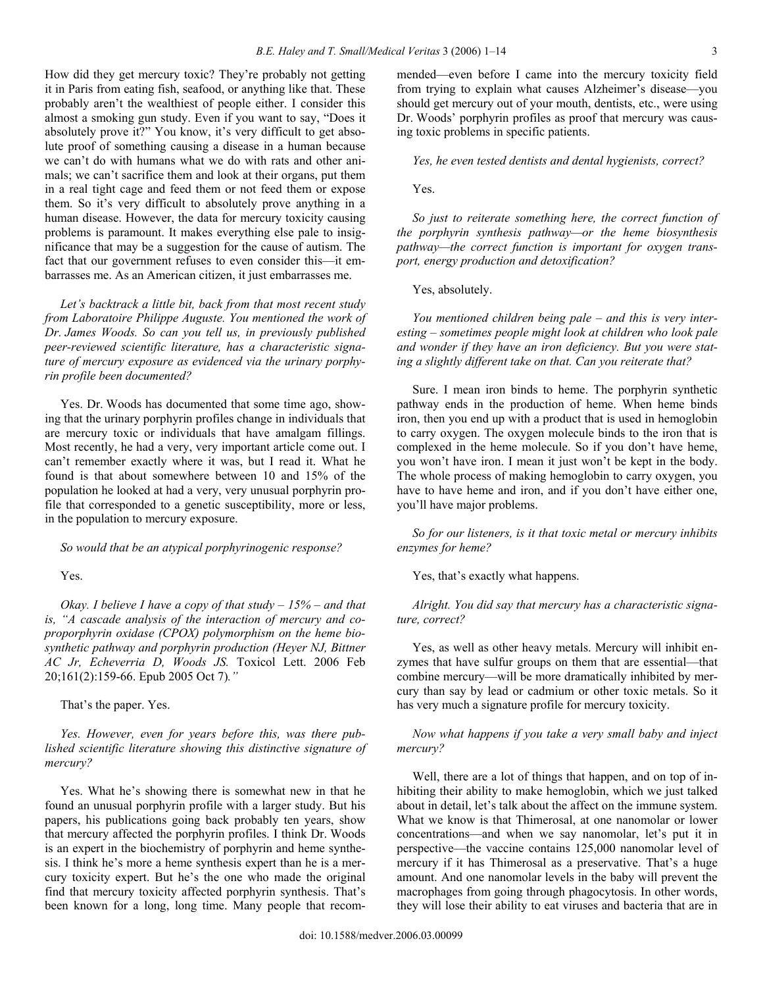How did they get mercury toxic? They're probably not getting it in Paris from eating fish, seafood, or anything like that. These probably aren't the wealthiest of people either. I consider this almost a smoking gun study. Even if you want to say, "Does it absolutely prove it?" You know, it's very difficult to get absolute proof of something causing a disease in a human because we can't do with humans what we do with rats and other animals; we can't sacrifice them and look at their organs, put them in a real tight cage and feed them or not feed them or expose them. So it's very difficult to absolutely prove anything in a human disease. However, the data for mercury toxicity causing problems is paramount. It makes everything else pale to insignificance that may be a suggestion for the cause of autism. The fact that our government refuses to even consider this—it embarrasses me. As an American citizen, it just embarrasses me.

 *Let's backtrack a little bit, back from that most recent study from Laboratoire Philippe Auguste. You mentioned the work of Dr. James Woods. So can you tell us, in previously published peer-reviewed scientific literature, has a characteristic signature of mercury exposure as evidenced via the urinary porphyrin profile been documented?* 

 Yes. Dr. Woods has documented that some time ago, showing that the urinary porphyrin profiles change in individuals that are mercury toxic or individuals that have amalgam fillings. Most recently, he had a very, very important article come out. I can't remember exactly where it was, but I read it. What he found is that about somewhere between 10 and 15% of the population he looked at had a very, very unusual porphyrin profile that corresponded to a genetic susceptibility, more or less, in the population to mercury exposure.

 *So would that be an atypical porphyrinogenic response?* 

#### Yes.

 *Okay. I believe I have a copy of that study – 15% – and that is, "A cascade analysis of the interaction of mercury and coproporphyrin oxidase (CPOX) polymorphism on the heme biosynthetic pathway and porphyrin production (Heyer NJ, Bittner AC Jr, Echeverria D, Woods JS.* Toxicol Lett. 2006 Feb 20;161(2):159-66. Epub 2005 Oct 7)*."* 

That's the paper. Yes.

 *Yes. However, even for years before this, was there published scientific literature showing this distinctive signature of mercury?* 

 Yes. What he's showing there is somewhat new in that he found an unusual porphyrin profile with a larger study. But his papers, his publications going back probably ten years, show that mercury affected the porphyrin profiles. I think Dr. Woods is an expert in the biochemistry of porphyrin and heme synthesis. I think he's more a heme synthesis expert than he is a mercury toxicity expert. But he's the one who made the original find that mercury toxicity affected porphyrin synthesis. That's been known for a long, long time. Many people that recommended—even before I came into the mercury toxicity field from trying to explain what causes Alzheimer's disease—you should get mercury out of your mouth, dentists, etc., were using Dr. Woods' porphyrin profiles as proof that mercury was causing toxic problems in specific patients.

 *Yes, he even tested dentists and dental hygienists, correct?* 

Yes.

 *So just to reiterate something here, the correct function of the porphyrin synthesis pathway—or the heme biosynthesis pathway—the correct function is important for oxygen transport, energy production and detoxification?* 

Yes, absolutely.

 *You mentioned children being pale – and this is very interesting – sometimes people might look at children who look pale and wonder if they have an iron deficiency. But you were stating a slightly different take on that. Can you reiterate that?* 

 Sure. I mean iron binds to heme. The porphyrin synthetic pathway ends in the production of heme. When heme binds iron, then you end up with a product that is used in hemoglobin to carry oxygen. The oxygen molecule binds to the iron that is complexed in the heme molecule. So if you don't have heme, you won't have iron. I mean it just won't be kept in the body. The whole process of making hemoglobin to carry oxygen, you have to have heme and iron, and if you don't have either one, you'll have major problems.

 *So for our listeners, is it that toxic metal or mercury inhibits enzymes for heme?* 

Yes, that's exactly what happens.

 *Alright. You did say that mercury has a characteristic signature, correct?* 

 Yes, as well as other heavy metals. Mercury will inhibit enzymes that have sulfur groups on them that are essential—that combine mercury—will be more dramatically inhibited by mercury than say by lead or cadmium or other toxic metals. So it has very much a signature profile for mercury toxicity.

 *Now what happens if you take a very small baby and inject mercury?* 

 Well, there are a lot of things that happen, and on top of inhibiting their ability to make hemoglobin, which we just talked about in detail, let's talk about the affect on the immune system. What we know is that Thimerosal, at one nanomolar or lower concentrations—and when we say nanomolar, let's put it in perspective—the vaccine contains 125,000 nanomolar level of mercury if it has Thimerosal as a preservative. That's a huge amount. And one nanomolar levels in the baby will prevent the macrophages from going through phagocytosis. In other words, they will lose their ability to eat viruses and bacteria that are in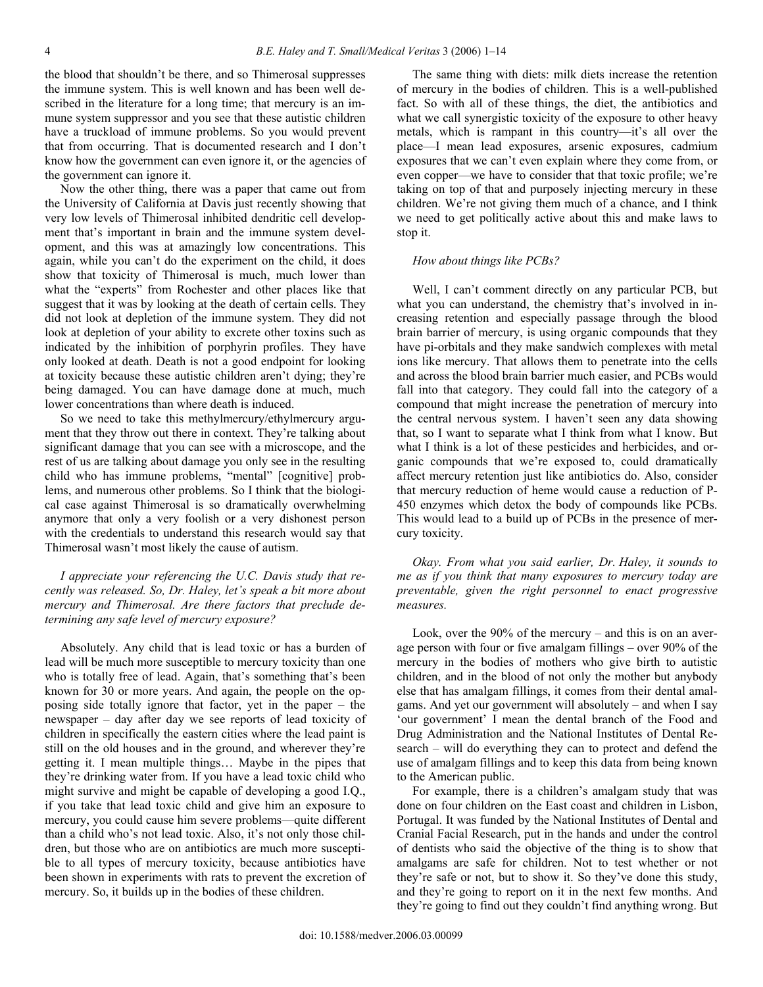the blood that shouldn't be there, and so Thimerosal suppresses the immune system. This is well known and has been well described in the literature for a long time; that mercury is an immune system suppressor and you see that these autistic children have a truckload of immune problems. So you would prevent that from occurring. That is documented research and I don't know how the government can even ignore it, or the agencies of the government can ignore it.

 Now the other thing, there was a paper that came out from the University of California at Davis just recently showing that very low levels of Thimerosal inhibited dendritic cell development that's important in brain and the immune system development, and this was at amazingly low concentrations. This again, while you can't do the experiment on the child, it does show that toxicity of Thimerosal is much, much lower than what the "experts" from Rochester and other places like that suggest that it was by looking at the death of certain cells. They did not look at depletion of the immune system. They did not look at depletion of your ability to excrete other toxins such as indicated by the inhibition of porphyrin profiles. They have only looked at death. Death is not a good endpoint for looking at toxicity because these autistic children aren't dying; they're being damaged. You can have damage done at much, much lower concentrations than where death is induced.

 So we need to take this methylmercury/ethylmercury argument that they throw out there in context. They're talking about significant damage that you can see with a microscope, and the rest of us are talking about damage you only see in the resulting child who has immune problems, "mental" [cognitive] problems, and numerous other problems. So I think that the biological case against Thimerosal is so dramatically overwhelming anymore that only a very foolish or a very dishonest person with the credentials to understand this research would say that Thimerosal wasn't most likely the cause of autism.

# *I appreciate your referencing the U.C. Davis study that recently was released. So, Dr. Haley, let's speak a bit more about mercury and Thimerosal. Are there factors that preclude determining any safe level of mercury exposure?*

 Absolutely. Any child that is lead toxic or has a burden of lead will be much more susceptible to mercury toxicity than one who is totally free of lead. Again, that's something that's been known for 30 or more years. And again, the people on the opposing side totally ignore that factor, yet in the paper – the newspaper – day after day we see reports of lead toxicity of children in specifically the eastern cities where the lead paint is still on the old houses and in the ground, and wherever they're getting it. I mean multiple things… Maybe in the pipes that they're drinking water from. If you have a lead toxic child who might survive and might be capable of developing a good I.Q., if you take that lead toxic child and give him an exposure to mercury, you could cause him severe problems—quite different than a child who's not lead toxic. Also, it's not only those children, but those who are on antibiotics are much more susceptible to all types of mercury toxicity, because antibiotics have been shown in experiments with rats to prevent the excretion of mercury. So, it builds up in the bodies of these children.

 The same thing with diets: milk diets increase the retention of mercury in the bodies of children. This is a well-published fact. So with all of these things, the diet, the antibiotics and what we call synergistic toxicity of the exposure to other heavy metals, which is rampant in this country—it's all over the place—I mean lead exposures, arsenic exposures, cadmium exposures that we can't even explain where they come from, or even copper—we have to consider that that toxic profile; we're taking on top of that and purposely injecting mercury in these children. We're not giving them much of a chance, and I think we need to get politically active about this and make laws to stop it.

#### *How about things like PCBs?*

 Well, I can't comment directly on any particular PCB, but what you can understand, the chemistry that's involved in increasing retention and especially passage through the blood brain barrier of mercury, is using organic compounds that they have pi-orbitals and they make sandwich complexes with metal ions like mercury. That allows them to penetrate into the cells and across the blood brain barrier much easier, and PCBs would fall into that category. They could fall into the category of a compound that might increase the penetration of mercury into the central nervous system. I haven't seen any data showing that, so I want to separate what I think from what I know. But what I think is a lot of these pesticides and herbicides, and organic compounds that we're exposed to, could dramatically affect mercury retention just like antibiotics do. Also, consider that mercury reduction of heme would cause a reduction of P-450 enzymes which detox the body of compounds like PCBs. This would lead to a build up of PCBs in the presence of mercury toxicity.

 *Okay. From what you said earlier, Dr. Haley, it sounds to me as if you think that many exposures to mercury today are preventable, given the right personnel to enact progressive measures.* 

 Look, over the 90% of the mercury – and this is on an average person with four or five amalgam fillings – over 90% of the mercury in the bodies of mothers who give birth to autistic children, and in the blood of not only the mother but anybody else that has amalgam fillings, it comes from their dental amalgams. And yet our government will absolutely – and when I say 'our government' I mean the dental branch of the Food and Drug Administration and the National Institutes of Dental Research – will do everything they can to protect and defend the use of amalgam fillings and to keep this data from being known to the American public.

 For example, there is a children's amalgam study that was done on four children on the East coast and children in Lisbon, Portugal. It was funded by the National Institutes of Dental and Cranial Facial Research, put in the hands and under the control of dentists who said the objective of the thing is to show that amalgams are safe for children. Not to test whether or not they're safe or not, but to show it. So they've done this study, and they're going to report on it in the next few months. And they're going to find out they couldn't find anything wrong. But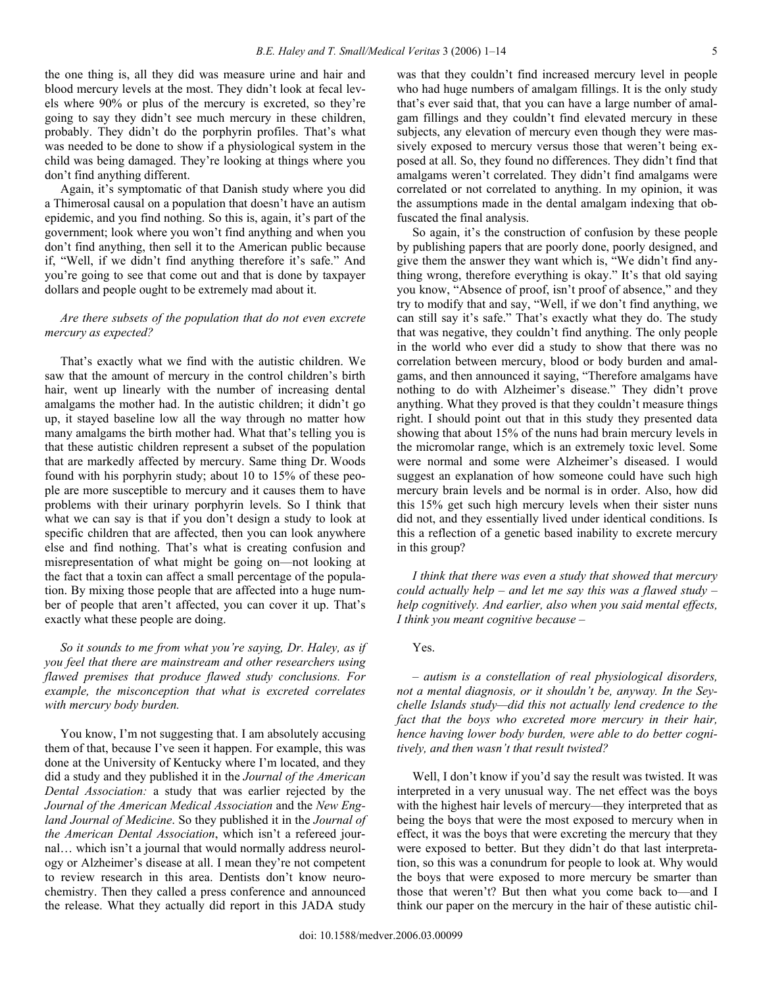the one thing is, all they did was measure urine and hair and blood mercury levels at the most. They didn't look at fecal levels where 90% or plus of the mercury is excreted, so they're going to say they didn't see much mercury in these children, probably. They didn't do the porphyrin profiles. That's what was needed to be done to show if a physiological system in the child was being damaged. They're looking at things where you don't find anything different.

 Again, it's symptomatic of that Danish study where you did a Thimerosal causal on a population that doesn't have an autism epidemic, and you find nothing. So this is, again, it's part of the government; look where you won't find anything and when you don't find anything, then sell it to the American public because if, "Well, if we didn't find anything therefore it's safe." And you're going to see that come out and that is done by taxpayer dollars and people ought to be extremely mad about it.

## *Are there subsets of the population that do not even excrete mercury as expected?*

 That's exactly what we find with the autistic children. We saw that the amount of mercury in the control children's birth hair, went up linearly with the number of increasing dental amalgams the mother had. In the autistic children; it didn't go up, it stayed baseline low all the way through no matter how many amalgams the birth mother had. What that's telling you is that these autistic children represent a subset of the population that are markedly affected by mercury. Same thing Dr. Woods found with his porphyrin study; about 10 to 15% of these people are more susceptible to mercury and it causes them to have problems with their urinary porphyrin levels. So I think that what we can say is that if you don't design a study to look at specific children that are affected, then you can look anywhere else and find nothing. That's what is creating confusion and misrepresentation of what might be going on—not looking at the fact that a toxin can affect a small percentage of the population. By mixing those people that are affected into a huge number of people that aren't affected, you can cover it up. That's exactly what these people are doing.

 *So it sounds to me from what you're saying, Dr. Haley, as if you feel that there are mainstream and other researchers using flawed premises that produce flawed study conclusions. For example, the misconception that what is excreted correlates with mercury body burden.* 

 You know, I'm not suggesting that. I am absolutely accusing them of that, because I've seen it happen. For example, this was done at the University of Kentucky where I'm located, and they did a study and they published it in the *Journal of the American Dental Association:* a study that was earlier rejected by the *Journal of the American Medical Association* and the *New England Journal of Medicine*. So they published it in the *Journal of the American Dental Association*, which isn't a refereed journal… which isn't a journal that would normally address neurology or Alzheimer's disease at all. I mean they're not competent to review research in this area. Dentists don't know neurochemistry. Then they called a press conference and announced the release. What they actually did report in this JADA study

was that they couldn't find increased mercury level in people who had huge numbers of amalgam fillings. It is the only study that's ever said that, that you can have a large number of amalgam fillings and they couldn't find elevated mercury in these subjects, any elevation of mercury even though they were massively exposed to mercury versus those that weren't being exposed at all. So, they found no differences. They didn't find that amalgams weren't correlated. They didn't find amalgams were correlated or not correlated to anything. In my opinion, it was the assumptions made in the dental amalgam indexing that obfuscated the final analysis.

 So again, it's the construction of confusion by these people by publishing papers that are poorly done, poorly designed, and give them the answer they want which is, "We didn't find anything wrong, therefore everything is okay." It's that old saying you know, "Absence of proof, isn't proof of absence," and they try to modify that and say, "Well, if we don't find anything, we can still say it's safe." That's exactly what they do. The study that was negative, they couldn't find anything. The only people in the world who ever did a study to show that there was no correlation between mercury, blood or body burden and amalgams, and then announced it saying, "Therefore amalgams have nothing to do with Alzheimer's disease." They didn't prove anything. What they proved is that they couldn't measure things right. I should point out that in this study they presented data showing that about 15% of the nuns had brain mercury levels in the micromolar range, which is an extremely toxic level. Some were normal and some were Alzheimer's diseased. I would suggest an explanation of how someone could have such high mercury brain levels and be normal is in order. Also, how did this 15% get such high mercury levels when their sister nuns did not, and they essentially lived under identical conditions. Is this a reflection of a genetic based inability to excrete mercury in this group?

 *I think that there was even a study that showed that mercury could actually help – and let me say this was a flawed study – help cognitively. And earlier, also when you said mental effects, I think you meant cognitive because –* 

## Yes.

 *– autism is a constellation of real physiological disorders, not a mental diagnosis, or it shouldn't be, anyway. In the Seychelle Islands study—did this not actually lend credence to the fact that the boys who excreted more mercury in their hair, hence having lower body burden, were able to do better cognitively, and then wasn't that result twisted?* 

 Well, I don't know if you'd say the result was twisted. It was interpreted in a very unusual way. The net effect was the boys with the highest hair levels of mercury—they interpreted that as being the boys that were the most exposed to mercury when in effect, it was the boys that were excreting the mercury that they were exposed to better. But they didn't do that last interpretation, so this was a conundrum for people to look at. Why would the boys that were exposed to more mercury be smarter than those that weren't? But then what you come back to—and I think our paper on the mercury in the hair of these autistic chil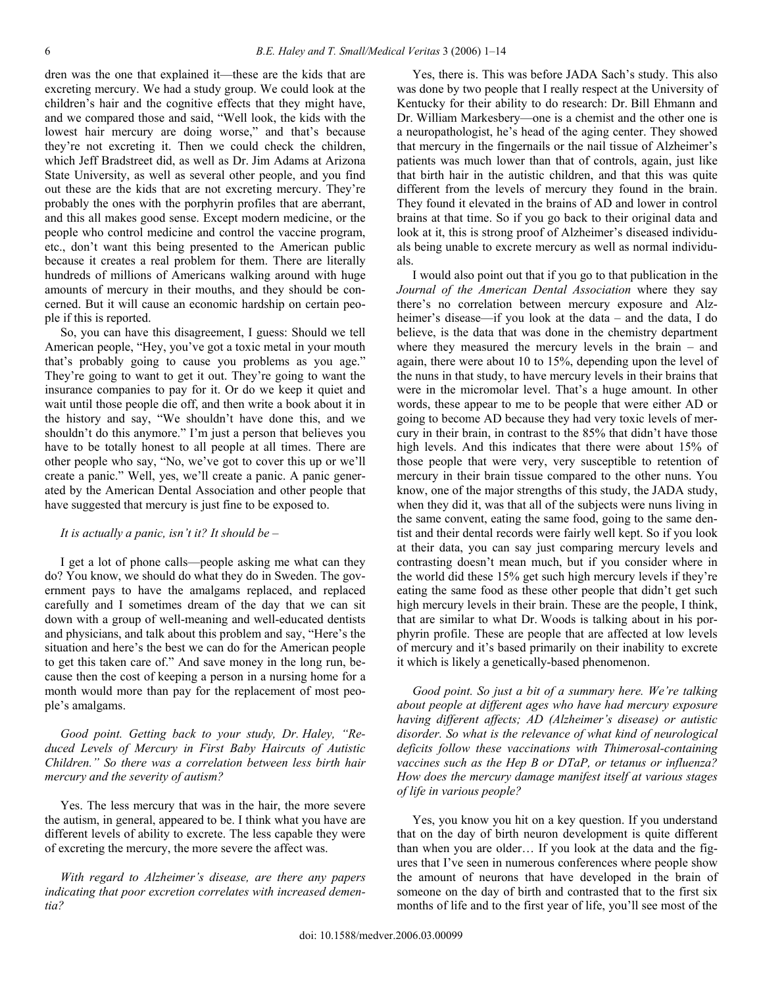dren was the one that explained it—these are the kids that are excreting mercury. We had a study group. We could look at the children's hair and the cognitive effects that they might have, and we compared those and said, "Well look, the kids with the lowest hair mercury are doing worse," and that's because they're not excreting it. Then we could check the children, which Jeff Bradstreet did, as well as Dr. Jim Adams at Arizona State University, as well as several other people, and you find out these are the kids that are not excreting mercury. They're probably the ones with the porphyrin profiles that are aberrant, and this all makes good sense. Except modern medicine, or the people who control medicine and control the vaccine program, etc., don't want this being presented to the American public because it creates a real problem for them. There are literally hundreds of millions of Americans walking around with huge amounts of mercury in their mouths, and they should be concerned. But it will cause an economic hardship on certain people if this is reported.

 So, you can have this disagreement, I guess: Should we tell American people, "Hey, you've got a toxic metal in your mouth that's probably going to cause you problems as you age." They're going to want to get it out. They're going to want the insurance companies to pay for it. Or do we keep it quiet and wait until those people die off, and then write a book about it in the history and say, "We shouldn't have done this, and we shouldn't do this anymore." I'm just a person that believes you have to be totally honest to all people at all times. There are other people who say, "No, we've got to cover this up or we'll create a panic." Well, yes, we'll create a panic. A panic generated by the American Dental Association and other people that have suggested that mercury is just fine to be exposed to.

# *It is actually a panic, isn't it? It should be –*

 I get a lot of phone calls—people asking me what can they do? You know, we should do what they do in Sweden. The government pays to have the amalgams replaced, and replaced carefully and I sometimes dream of the day that we can sit down with a group of well-meaning and well-educated dentists and physicians, and talk about this problem and say, "Here's the situation and here's the best we can do for the American people to get this taken care of." And save money in the long run, because then the cost of keeping a person in a nursing home for a month would more than pay for the replacement of most people's amalgams.

 *Good point. Getting back to your study, Dr. Haley, "Reduced Levels of Mercury in First Baby Haircuts of Autistic Children." So there was a correlation between less birth hair mercury and the severity of autism?* 

 Yes. The less mercury that was in the hair, the more severe the autism, in general, appeared to be. I think what you have are different levels of ability to excrete. The less capable they were of excreting the mercury, the more severe the affect was.

 *With regard to Alzheimer's disease, are there any papers indicating that poor excretion correlates with increased dementia?* 

 Yes, there is. This was before JADA Sach's study. This also was done by two people that I really respect at the University of Kentucky for their ability to do research: Dr. Bill Ehmann and Dr. William Markesbery—one is a chemist and the other one is a neuropathologist, he's head of the aging center. They showed that mercury in the fingernails or the nail tissue of Alzheimer's patients was much lower than that of controls, again, just like that birth hair in the autistic children, and that this was quite different from the levels of mercury they found in the brain. They found it elevated in the brains of AD and lower in control brains at that time. So if you go back to their original data and look at it, this is strong proof of Alzheimer's diseased individuals being unable to excrete mercury as well as normal individuals.

 I would also point out that if you go to that publication in the *Journal of the American Dental Association* where they say there's no correlation between mercury exposure and Alzheimer's disease—if you look at the data – and the data, I do believe, is the data that was done in the chemistry department where they measured the mercury levels in the brain – and again, there were about 10 to 15%, depending upon the level of the nuns in that study, to have mercury levels in their brains that were in the micromolar level. That's a huge amount. In other words, these appear to me to be people that were either AD or going to become AD because they had very toxic levels of mercury in their brain, in contrast to the 85% that didn't have those high levels. And this indicates that there were about 15% of those people that were very, very susceptible to retention of mercury in their brain tissue compared to the other nuns. You know, one of the major strengths of this study, the JADA study, when they did it, was that all of the subjects were nuns living in the same convent, eating the same food, going to the same dentist and their dental records were fairly well kept. So if you look at their data, you can say just comparing mercury levels and contrasting doesn't mean much, but if you consider where in the world did these 15% get such high mercury levels if they're eating the same food as these other people that didn't get such high mercury levels in their brain. These are the people, I think, that are similar to what Dr. Woods is talking about in his porphyrin profile. These are people that are affected at low levels of mercury and it's based primarily on their inability to excrete it which is likely a genetically-based phenomenon.

 *Good point. So just a bit of a summary here. We're talking about people at different ages who have had mercury exposure having different affects; AD (Alzheimer's disease) or autistic disorder. So what is the relevance of what kind of neurological deficits follow these vaccinations with Thimerosal-containing vaccines such as the Hep B or DTaP, or tetanus or influenza? How does the mercury damage manifest itself at various stages of life in various people?* 

 Yes, you know you hit on a key question. If you understand that on the day of birth neuron development is quite different than when you are older… If you look at the data and the figures that I've seen in numerous conferences where people show the amount of neurons that have developed in the brain of someone on the day of birth and contrasted that to the first six months of life and to the first year of life, you'll see most of the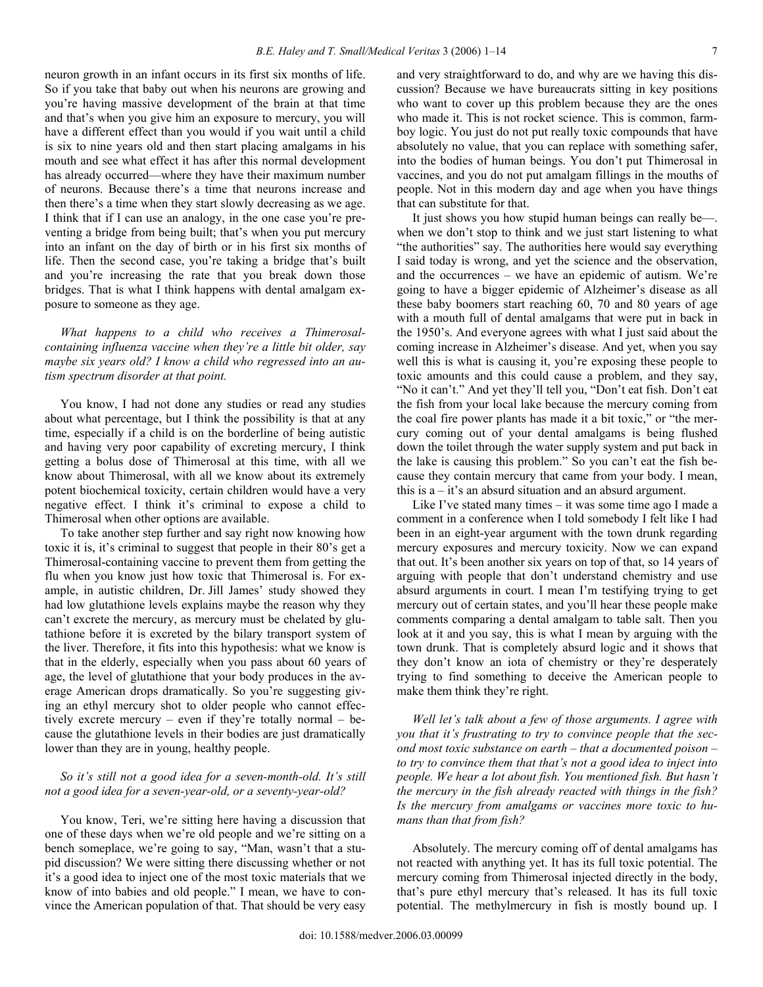neuron growth in an infant occurs in its first six months of life. So if you take that baby out when his neurons are growing and you're having massive development of the brain at that time and that's when you give him an exposure to mercury, you will have a different effect than you would if you wait until a child is six to nine years old and then start placing amalgams in his mouth and see what effect it has after this normal development has already occurred—where they have their maximum number of neurons. Because there's a time that neurons increase and then there's a time when they start slowly decreasing as we age. I think that if I can use an analogy, in the one case you're preventing a bridge from being built; that's when you put mercury into an infant on the day of birth or in his first six months of life. Then the second case, you're taking a bridge that's built and you're increasing the rate that you break down those bridges. That is what I think happens with dental amalgam exposure to someone as they age.

 *What happens to a child who receives a Thimerosalcontaining influenza vaccine when they're a little bit older, say maybe six years old? I know a child who regressed into an autism spectrum disorder at that point.* 

 You know, I had not done any studies or read any studies about what percentage, but I think the possibility is that at any time, especially if a child is on the borderline of being autistic and having very poor capability of excreting mercury, I think getting a bolus dose of Thimerosal at this time, with all we know about Thimerosal, with all we know about its extremely potent biochemical toxicity, certain children would have a very negative effect. I think it's criminal to expose a child to Thimerosal when other options are available.

 To take another step further and say right now knowing how toxic it is, it's criminal to suggest that people in their 80's get a Thimerosal-containing vaccine to prevent them from getting the flu when you know just how toxic that Thimerosal is. For example, in autistic children, Dr. Jill James' study showed they had low glutathione levels explains maybe the reason why they can't excrete the mercury, as mercury must be chelated by glutathione before it is excreted by the bilary transport system of the liver. Therefore, it fits into this hypothesis: what we know is that in the elderly, especially when you pass about 60 years of age, the level of glutathione that your body produces in the average American drops dramatically. So you're suggesting giving an ethyl mercury shot to older people who cannot effectively excrete mercury – even if they're totally normal – because the glutathione levels in their bodies are just dramatically lower than they are in young, healthy people.

# *So it's still not a good idea for a seven-month-old. It's still not a good idea for a seven-year-old, or a seventy-year-old?*

 You know, Teri, we're sitting here having a discussion that one of these days when we're old people and we're sitting on a bench someplace, we're going to say, "Man, wasn't that a stupid discussion? We were sitting there discussing whether or not it's a good idea to inject one of the most toxic materials that we know of into babies and old people." I mean, we have to convince the American population of that. That should be very easy

and very straightforward to do, and why are we having this discussion? Because we have bureaucrats sitting in key positions who want to cover up this problem because they are the ones who made it. This is not rocket science. This is common, farmboy logic. You just do not put really toxic compounds that have absolutely no value, that you can replace with something safer, into the bodies of human beings. You don't put Thimerosal in vaccines, and you do not put amalgam fillings in the mouths of people. Not in this modern day and age when you have things that can substitute for that.

 It just shows you how stupid human beings can really be—. when we don't stop to think and we just start listening to what "the authorities" say. The authorities here would say everything I said today is wrong, and yet the science and the observation, and the occurrences – we have an epidemic of autism. We're going to have a bigger epidemic of Alzheimer's disease as all these baby boomers start reaching 60, 70 and 80 years of age with a mouth full of dental amalgams that were put in back in the 1950's. And everyone agrees with what I just said about the coming increase in Alzheimer's disease. And yet, when you say well this is what is causing it, you're exposing these people to toxic amounts and this could cause a problem, and they say, "No it can't." And yet they'll tell you, "Don't eat fish. Don't eat the fish from your local lake because the mercury coming from the coal fire power plants has made it a bit toxic," or "the mercury coming out of your dental amalgams is being flushed down the toilet through the water supply system and put back in the lake is causing this problem." So you can't eat the fish because they contain mercury that came from your body. I mean, this is  $a - it's$  an absurd situation and an absurd argument.

 Like I've stated many times – it was some time ago I made a comment in a conference when I told somebody I felt like I had been in an eight-year argument with the town drunk regarding mercury exposures and mercury toxicity. Now we can expand that out. It's been another six years on top of that, so 14 years of arguing with people that don't understand chemistry and use absurd arguments in court. I mean I'm testifying trying to get mercury out of certain states, and you'll hear these people make comments comparing a dental amalgam to table salt. Then you look at it and you say, this is what I mean by arguing with the town drunk. That is completely absurd logic and it shows that they don't know an iota of chemistry or they're desperately trying to find something to deceive the American people to make them think they're right.

 *Well let's talk about a few of those arguments. I agree with you that it's frustrating to try to convince people that the second most toxic substance on earth – that a documented poison – to try to convince them that that's not a good idea to inject into people. We hear a lot about fish. You mentioned fish. But hasn't the mercury in the fish already reacted with things in the fish? Is the mercury from amalgams or vaccines more toxic to humans than that from fish?* 

 Absolutely. The mercury coming off of dental amalgams has not reacted with anything yet. It has its full toxic potential. The mercury coming from Thimerosal injected directly in the body, that's pure ethyl mercury that's released. It has its full toxic potential. The methylmercury in fish is mostly bound up. I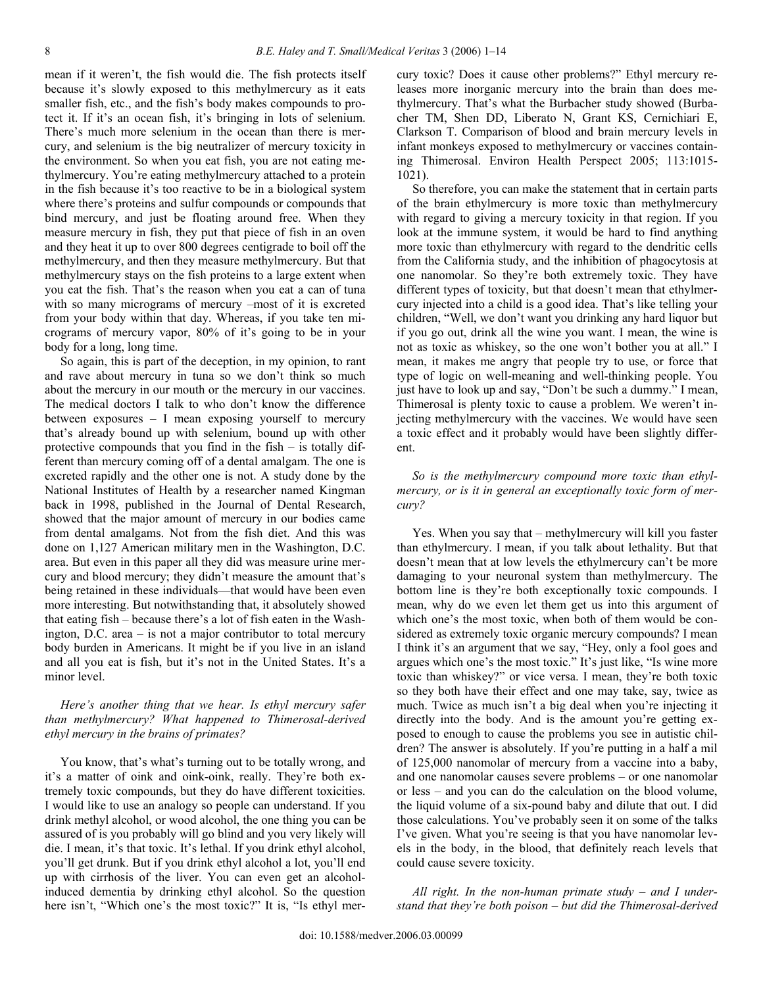mean if it weren't, the fish would die. The fish protects itself because it's slowly exposed to this methylmercury as it eats smaller fish, etc., and the fish's body makes compounds to protect it. If it's an ocean fish, it's bringing in lots of selenium. There's much more selenium in the ocean than there is mercury, and selenium is the big neutralizer of mercury toxicity in the environment. So when you eat fish, you are not eating methylmercury. You're eating methylmercury attached to a protein in the fish because it's too reactive to be in a biological system where there's proteins and sulfur compounds or compounds that bind mercury, and just be floating around free. When they measure mercury in fish, they put that piece of fish in an oven and they heat it up to over 800 degrees centigrade to boil off the methylmercury, and then they measure methylmercury. But that methylmercury stays on the fish proteins to a large extent when you eat the fish. That's the reason when you eat a can of tuna with so many micrograms of mercury –most of it is excreted from your body within that day. Whereas, if you take ten micrograms of mercury vapor, 80% of it's going to be in your body for a long, long time.

 So again, this is part of the deception, in my opinion, to rant and rave about mercury in tuna so we don't think so much about the mercury in our mouth or the mercury in our vaccines. The medical doctors I talk to who don't know the difference between exposures – I mean exposing yourself to mercury that's already bound up with selenium, bound up with other protective compounds that you find in the fish – is totally different than mercury coming off of a dental amalgam. The one is excreted rapidly and the other one is not. A study done by the National Institutes of Health by a researcher named Kingman back in 1998, published in the Journal of Dental Research, showed that the major amount of mercury in our bodies came from dental amalgams. Not from the fish diet. And this was done on 1,127 American military men in the Washington, D.C. area. But even in this paper all they did was measure urine mercury and blood mercury; they didn't measure the amount that's being retained in these individuals—that would have been even more interesting. But notwithstanding that, it absolutely showed that eating fish – because there's a lot of fish eaten in the Washington, D.C. area – is not a major contributor to total mercury body burden in Americans. It might be if you live in an island and all you eat is fish, but it's not in the United States. It's a minor level.

# *Here's another thing that we hear. Is ethyl mercury safer than methylmercury? What happened to Thimerosal-derived ethyl mercury in the brains of primates?*

 You know, that's what's turning out to be totally wrong, and it's a matter of oink and oink-oink, really. They're both extremely toxic compounds, but they do have different toxicities. I would like to use an analogy so people can understand. If you drink methyl alcohol, or wood alcohol, the one thing you can be assured of is you probably will go blind and you very likely will die. I mean, it's that toxic. It's lethal. If you drink ethyl alcohol, you'll get drunk. But if you drink ethyl alcohol a lot, you'll end up with cirrhosis of the liver. You can even get an alcoholinduced dementia by drinking ethyl alcohol. So the question here isn't, "Which one's the most toxic?" It is, "Is ethyl mercury toxic? Does it cause other problems?" Ethyl mercury releases more inorganic mercury into the brain than does methylmercury. That's what the Burbacher study showed (Burbacher TM, Shen DD, Liberato N, Grant KS, Cernichiari E, Clarkson T. Comparison of blood and brain mercury levels in infant monkeys exposed to methylmercury or vaccines containing Thimerosal. Environ Health Perspect 2005; 113:1015- 1021).

 So therefore, you can make the statement that in certain parts of the brain ethylmercury is more toxic than methylmercury with regard to giving a mercury toxicity in that region. If you look at the immune system, it would be hard to find anything more toxic than ethylmercury with regard to the dendritic cells from the California study, and the inhibition of phagocytosis at one nanomolar. So they're both extremely toxic. They have different types of toxicity, but that doesn't mean that ethylmercury injected into a child is a good idea. That's like telling your children, "Well, we don't want you drinking any hard liquor but if you go out, drink all the wine you want. I mean, the wine is not as toxic as whiskey, so the one won't bother you at all." I mean, it makes me angry that people try to use, or force that type of logic on well-meaning and well-thinking people. You just have to look up and say, "Don't be such a dummy." I mean, Thimerosal is plenty toxic to cause a problem. We weren't injecting methylmercury with the vaccines. We would have seen a toxic effect and it probably would have been slightly different.

## *So is the methylmercury compound more toxic than ethylmercury, or is it in general an exceptionally toxic form of mercury?*

 Yes. When you say that – methylmercury will kill you faster than ethylmercury. I mean, if you talk about lethality. But that doesn't mean that at low levels the ethylmercury can't be more damaging to your neuronal system than methylmercury. The bottom line is they're both exceptionally toxic compounds. I mean, why do we even let them get us into this argument of which one's the most toxic, when both of them would be considered as extremely toxic organic mercury compounds? I mean I think it's an argument that we say, "Hey, only a fool goes and argues which one's the most toxic." It's just like, "Is wine more toxic than whiskey?" or vice versa. I mean, they're both toxic so they both have their effect and one may take, say, twice as much. Twice as much isn't a big deal when you're injecting it directly into the body. And is the amount you're getting exposed to enough to cause the problems you see in autistic children? The answer is absolutely. If you're putting in a half a mil of 125,000 nanomolar of mercury from a vaccine into a baby, and one nanomolar causes severe problems – or one nanomolar or less – and you can do the calculation on the blood volume, the liquid volume of a six-pound baby and dilute that out. I did those calculations. You've probably seen it on some of the talks I've given. What you're seeing is that you have nanomolar levels in the body, in the blood, that definitely reach levels that could cause severe toxicity.

 *All right. In the non-human primate study – and I understand that they're both poison – but did the Thimerosal-derived*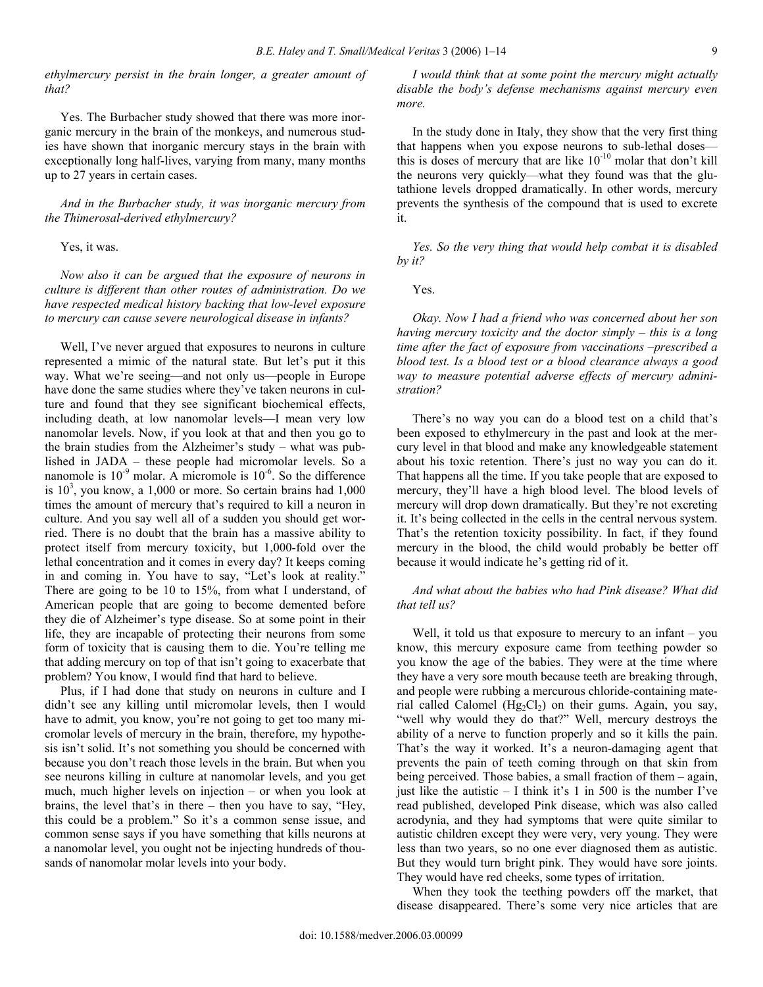*ethylmercury persist in the brain longer, a greater amount of that?* 

 Yes. The Burbacher study showed that there was more inorganic mercury in the brain of the monkeys, and numerous studies have shown that inorganic mercury stays in the brain with exceptionally long half-lives, varying from many, many months up to 27 years in certain cases.

 *And in the Burbacher study, it was inorganic mercury from the Thimerosal-derived ethylmercury?* 

## Yes, it was.

 *Now also it can be argued that the exposure of neurons in culture is different than other routes of administration. Do we have respected medical history backing that low-level exposure to mercury can cause severe neurological disease in infants?* 

 Well, I've never argued that exposures to neurons in culture represented a mimic of the natural state. But let's put it this way. What we're seeing—and not only us—people in Europe have done the same studies where they've taken neurons in culture and found that they see significant biochemical effects, including death, at low nanomolar levels—I mean very low nanomolar levels. Now, if you look at that and then you go to the brain studies from the Alzheimer's study – what was published in JADA – these people had micromolar levels. So a nanomole is  $10^{-9}$  molar. A micromole is  $10^{-6}$ . So the difference is  $10<sup>3</sup>$ , you know, a 1,000 or more. So certain brains had 1,000 times the amount of mercury that's required to kill a neuron in culture. And you say well all of a sudden you should get worried. There is no doubt that the brain has a massive ability to protect itself from mercury toxicity, but 1,000-fold over the lethal concentration and it comes in every day? It keeps coming in and coming in. You have to say, "Let's look at reality." There are going to be 10 to 15%, from what I understand, of American people that are going to become demented before they die of Alzheimer's type disease. So at some point in their life, they are incapable of protecting their neurons from some form of toxicity that is causing them to die. You're telling me that adding mercury on top of that isn't going to exacerbate that problem? You know, I would find that hard to believe.

 Plus, if I had done that study on neurons in culture and I didn't see any killing until micromolar levels, then I would have to admit, you know, you're not going to get too many micromolar levels of mercury in the brain, therefore, my hypothesis isn't solid. It's not something you should be concerned with because you don't reach those levels in the brain. But when you see neurons killing in culture at nanomolar levels, and you get much, much higher levels on injection – or when you look at brains, the level that's in there – then you have to say, "Hey, this could be a problem." So it's a common sense issue, and common sense says if you have something that kills neurons at a nanomolar level, you ought not be injecting hundreds of thousands of nanomolar molar levels into your body.

 *I would think that at some point the mercury might actually disable the body's defense mechanisms against mercury even more.* 

 In the study done in Italy, they show that the very first thing that happens when you expose neurons to sub-lethal doses this is doses of mercury that are like  $10^{-10}$  molar that don't kill the neurons very quickly—what they found was that the glutathione levels dropped dramatically. In other words, mercury prevents the synthesis of the compound that is used to excrete it.

 *Yes. So the very thing that would help combat it is disabled by it?* 

Yes.

 *Okay. Now I had a friend who was concerned about her son having mercury toxicity and the doctor simply – this is a long time after the fact of exposure from vaccinations –prescribed a blood test. Is a blood test or a blood clearance always a good way to measure potential adverse effects of mercury administration?* 

 There's no way you can do a blood test on a child that's been exposed to ethylmercury in the past and look at the mercury level in that blood and make any knowledgeable statement about his toxic retention. There's just no way you can do it. That happens all the time. If you take people that are exposed to mercury, they'll have a high blood level. The blood levels of mercury will drop down dramatically. But they're not excreting it. It's being collected in the cells in the central nervous system. That's the retention toxicity possibility. In fact, if they found mercury in the blood, the child would probably be better off because it would indicate he's getting rid of it.

 *And what about the babies who had Pink disease? What did that tell us?* 

Well, it told us that exposure to mercury to an infant – you know, this mercury exposure came from teething powder so you know the age of the babies. They were at the time where they have a very sore mouth because teeth are breaking through, and people were rubbing a mercurous chloride-containing material called Calomel  $(Hg_2Cl_2)$  on their gums. Again, you say, "well why would they do that?" Well, mercury destroys the ability of a nerve to function properly and so it kills the pain. That's the way it worked. It's a neuron-damaging agent that prevents the pain of teeth coming through on that skin from being perceived. Those babies, a small fraction of them – again, just like the autistic  $- I$  think it's 1 in 500 is the number I've read published, developed Pink disease, which was also called acrodynia, and they had symptoms that were quite similar to autistic children except they were very, very young. They were less than two years, so no one ever diagnosed them as autistic. But they would turn bright pink. They would have sore joints. They would have red cheeks, some types of irritation.

 When they took the teething powders off the market, that disease disappeared. There's some very nice articles that are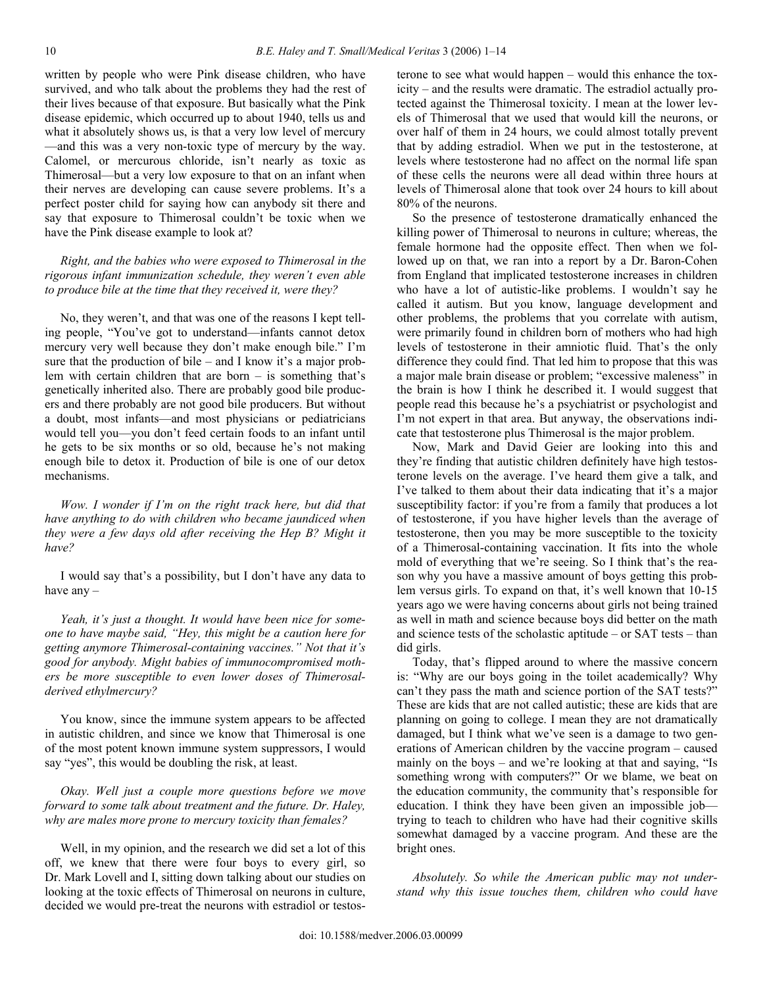written by people who were Pink disease children, who have survived, and who talk about the problems they had the rest of their lives because of that exposure. But basically what the Pink disease epidemic, which occurred up to about 1940, tells us and what it absolutely shows us, is that a very low level of mercury —and this was a very non-toxic type of mercury by the way. Calomel, or mercurous chloride, isn't nearly as toxic as Thimerosal—but a very low exposure to that on an infant when their nerves are developing can cause severe problems. It's a perfect poster child for saying how can anybody sit there and say that exposure to Thimerosal couldn't be toxic when we have the Pink disease example to look at?

## *Right, and the babies who were exposed to Thimerosal in the rigorous infant immunization schedule, they weren't even able to produce bile at the time that they received it, were they?*

 No, they weren't, and that was one of the reasons I kept telling people, "You've got to understand—infants cannot detox mercury very well because they don't make enough bile." I'm sure that the production of bile – and I know it's a major problem with certain children that are born – is something that's genetically inherited also. There are probably good bile producers and there probably are not good bile producers. But without a doubt, most infants—and most physicians or pediatricians would tell you—you don't feed certain foods to an infant until he gets to be six months or so old, because he's not making enough bile to detox it. Production of bile is one of our detox mechanisms.

 *Wow. I wonder if I'm on the right track here, but did that have anything to do with children who became jaundiced when they were a few days old after receiving the Hep B? Might it have?* 

 I would say that's a possibility, but I don't have any data to have any –

 *Yeah, it's just a thought. It would have been nice for someone to have maybe said, "Hey, this might be a caution here for getting anymore Thimerosal-containing vaccines." Not that it's good for anybody. Might babies of immunocompromised mothers be more susceptible to even lower doses of Thimerosalderived ethylmercury?* 

 You know, since the immune system appears to be affected in autistic children, and since we know that Thimerosal is one of the most potent known immune system suppressors, I would say "yes", this would be doubling the risk, at least.

 *Okay. Well just a couple more questions before we move forward to some talk about treatment and the future. Dr. Haley, why are males more prone to mercury toxicity than females?* 

 Well, in my opinion, and the research we did set a lot of this off, we knew that there were four boys to every girl, so Dr. Mark Lovell and I, sitting down talking about our studies on looking at the toxic effects of Thimerosal on neurons in culture, decided we would pre-treat the neurons with estradiol or testosterone to see what would happen – would this enhance the toxicity – and the results were dramatic. The estradiol actually protected against the Thimerosal toxicity. I mean at the lower levels of Thimerosal that we used that would kill the neurons, or over half of them in 24 hours, we could almost totally prevent that by adding estradiol. When we put in the testosterone, at levels where testosterone had no affect on the normal life span of these cells the neurons were all dead within three hours at levels of Thimerosal alone that took over 24 hours to kill about 80% of the neurons.

 So the presence of testosterone dramatically enhanced the killing power of Thimerosal to neurons in culture; whereas, the female hormone had the opposite effect. Then when we followed up on that, we ran into a report by a Dr. Baron-Cohen from England that implicated testosterone increases in children who have a lot of autistic-like problems. I wouldn't say he called it autism. But you know, language development and other problems, the problems that you correlate with autism, were primarily found in children born of mothers who had high levels of testosterone in their amniotic fluid. That's the only difference they could find. That led him to propose that this was a major male brain disease or problem; "excessive maleness" in the brain is how I think he described it. I would suggest that people read this because he's a psychiatrist or psychologist and I'm not expert in that area. But anyway, the observations indicate that testosterone plus Thimerosal is the major problem.

 Now, Mark and David Geier are looking into this and they're finding that autistic children definitely have high testosterone levels on the average. I've heard them give a talk, and I've talked to them about their data indicating that it's a major susceptibility factor: if you're from a family that produces a lot of testosterone, if you have higher levels than the average of testosterone, then you may be more susceptible to the toxicity of a Thimerosal-containing vaccination. It fits into the whole mold of everything that we're seeing. So I think that's the reason why you have a massive amount of boys getting this problem versus girls. To expand on that, it's well known that 10-15 years ago we were having concerns about girls not being trained as well in math and science because boys did better on the math and science tests of the scholastic aptitude – or SAT tests – than did girls.

 Today, that's flipped around to where the massive concern is: "Why are our boys going in the toilet academically? Why can't they pass the math and science portion of the SAT tests?" These are kids that are not called autistic; these are kids that are planning on going to college. I mean they are not dramatically damaged, but I think what we've seen is a damage to two generations of American children by the vaccine program – caused mainly on the boys – and we're looking at that and saying, "Is something wrong with computers?" Or we blame, we beat on the education community, the community that's responsible for education. I think they have been given an impossible job trying to teach to children who have had their cognitive skills somewhat damaged by a vaccine program. And these are the bright ones.

 *Absolutely. So while the American public may not understand why this issue touches them, children who could have*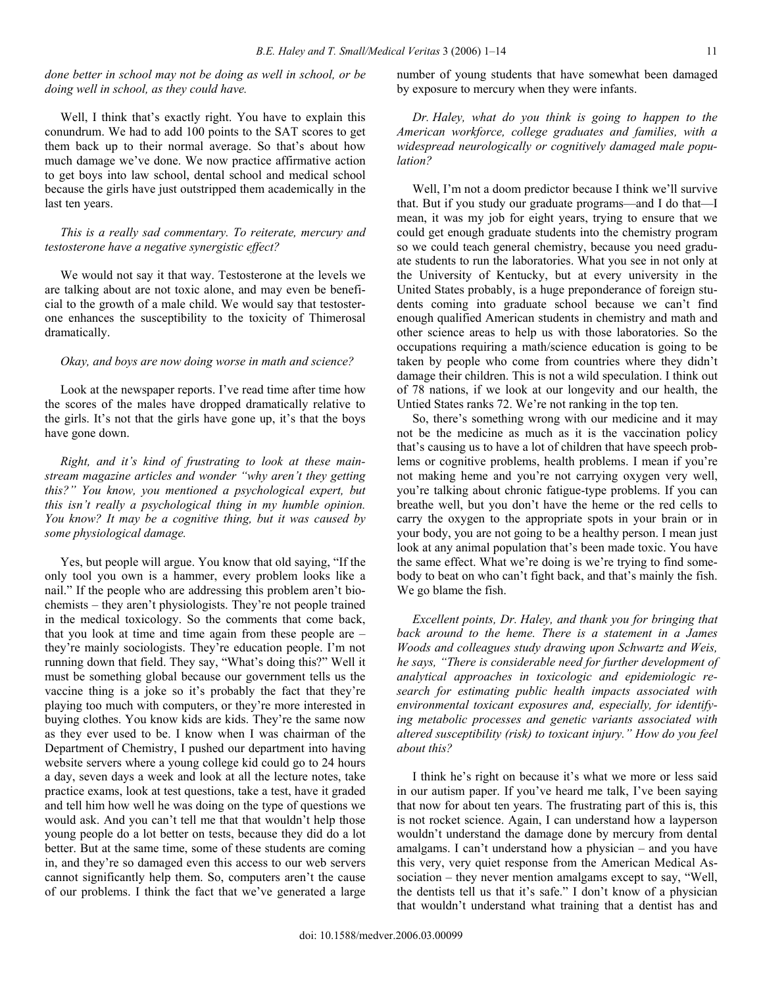# *done better in school may not be doing as well in school, or be doing well in school, as they could have.*

 Well, I think that's exactly right. You have to explain this conundrum. We had to add 100 points to the SAT scores to get them back up to their normal average. So that's about how much damage we've done. We now practice affirmative action to get boys into law school, dental school and medical school because the girls have just outstripped them academically in the last ten years.

## *This is a really sad commentary. To reiterate, mercury and testosterone have a negative synergistic effect?*

 We would not say it that way. Testosterone at the levels we are talking about are not toxic alone, and may even be beneficial to the growth of a male child. We would say that testosterone enhances the susceptibility to the toxicity of Thimerosal dramatically.

## *Okay, and boys are now doing worse in math and science?*

 Look at the newspaper reports. I've read time after time how the scores of the males have dropped dramatically relative to the girls. It's not that the girls have gone up, it's that the boys have gone down.

 *Right, and it's kind of frustrating to look at these mainstream magazine articles and wonder "why aren't they getting this?" You know, you mentioned a psychological expert, but this isn't really a psychological thing in my humble opinion. You know? It may be a cognitive thing, but it was caused by some physiological damage.* 

 Yes, but people will argue. You know that old saying, "If the only tool you own is a hammer, every problem looks like a nail." If the people who are addressing this problem aren't biochemists – they aren't physiologists. They're not people trained in the medical toxicology. So the comments that come back, that you look at time and time again from these people are – they're mainly sociologists. They're education people. I'm not running down that field. They say, "What's doing this?" Well it must be something global because our government tells us the vaccine thing is a joke so it's probably the fact that they're playing too much with computers, or they're more interested in buying clothes. You know kids are kids. They're the same now as they ever used to be. I know when I was chairman of the Department of Chemistry, I pushed our department into having website servers where a young college kid could go to 24 hours a day, seven days a week and look at all the lecture notes, take practice exams, look at test questions, take a test, have it graded and tell him how well he was doing on the type of questions we would ask. And you can't tell me that that wouldn't help those young people do a lot better on tests, because they did do a lot better. But at the same time, some of these students are coming in, and they're so damaged even this access to our web servers cannot significantly help them. So, computers aren't the cause of our problems. I think the fact that we've generated a large

number of young students that have somewhat been damaged by exposure to mercury when they were infants.

 *Dr. Haley, what do you think is going to happen to the American workforce, college graduates and families, with a widespread neurologically or cognitively damaged male population?* 

 Well, I'm not a doom predictor because I think we'll survive that. But if you study our graduate programs—and I do that—I mean, it was my job for eight years, trying to ensure that we could get enough graduate students into the chemistry program so we could teach general chemistry, because you need graduate students to run the laboratories. What you see in not only at the University of Kentucky, but at every university in the United States probably, is a huge preponderance of foreign students coming into graduate school because we can't find enough qualified American students in chemistry and math and other science areas to help us with those laboratories. So the occupations requiring a math/science education is going to be taken by people who come from countries where they didn't damage their children. This is not a wild speculation. I think out of 78 nations, if we look at our longevity and our health, the Untied States ranks 72. We're not ranking in the top ten.

 So, there's something wrong with our medicine and it may not be the medicine as much as it is the vaccination policy that's causing us to have a lot of children that have speech problems or cognitive problems, health problems. I mean if you're not making heme and you're not carrying oxygen very well, you're talking about chronic fatigue-type problems. If you can breathe well, but you don't have the heme or the red cells to carry the oxygen to the appropriate spots in your brain or in your body, you are not going to be a healthy person. I mean just look at any animal population that's been made toxic. You have the same effect. What we're doing is we're trying to find somebody to beat on who can't fight back, and that's mainly the fish. We go blame the fish.

 *Excellent points, Dr. Haley, and thank you for bringing that back around to the heme. There is a statement in a James Woods and colleagues study drawing upon Schwartz and Weis, he says, "There is considerable need for further development of analytical approaches in toxicologic and epidemiologic research for estimating public health impacts associated with environmental toxicant exposures and, especially, for identifying metabolic processes and genetic variants associated with altered susceptibility (risk) to toxicant injury." How do you feel about this?* 

 I think he's right on because it's what we more or less said in our autism paper. If you've heard me talk, I've been saying that now for about ten years. The frustrating part of this is, this is not rocket science. Again, I can understand how a layperson wouldn't understand the damage done by mercury from dental amalgams. I can't understand how a physician – and you have this very, very quiet response from the American Medical Association – they never mention amalgams except to say, "Well, the dentists tell us that it's safe." I don't know of a physician that wouldn't understand what training that a dentist has and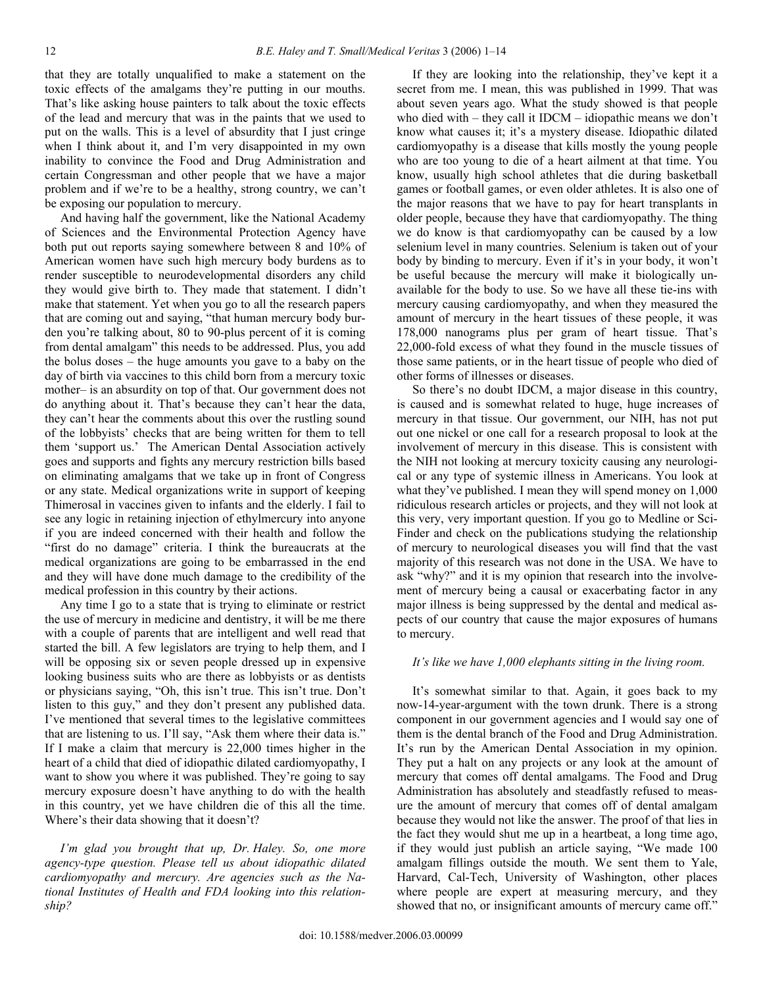that they are totally unqualified to make a statement on the toxic effects of the amalgams they're putting in our mouths. That's like asking house painters to talk about the toxic effects of the lead and mercury that was in the paints that we used to put on the walls. This is a level of absurdity that I just cringe when I think about it, and I'm very disappointed in my own inability to convince the Food and Drug Administration and certain Congressman and other people that we have a major problem and if we're to be a healthy, strong country, we can't be exposing our population to mercury.

 And having half the government, like the National Academy of Sciences and the Environmental Protection Agency have both put out reports saying somewhere between 8 and 10% of American women have such high mercury body burdens as to render susceptible to neurodevelopmental disorders any child they would give birth to. They made that statement. I didn't make that statement. Yet when you go to all the research papers that are coming out and saying, "that human mercury body burden you're talking about, 80 to 90-plus percent of it is coming from dental amalgam" this needs to be addressed. Plus, you add the bolus doses – the huge amounts you gave to a baby on the day of birth via vaccines to this child born from a mercury toxic mother– is an absurdity on top of that. Our government does not do anything about it. That's because they can't hear the data, they can't hear the comments about this over the rustling sound of the lobbyists' checks that are being written for them to tell them 'support us.' The American Dental Association actively goes and supports and fights any mercury restriction bills based on eliminating amalgams that we take up in front of Congress or any state. Medical organizations write in support of keeping Thimerosal in vaccines given to infants and the elderly. I fail to see any logic in retaining injection of ethylmercury into anyone if you are indeed concerned with their health and follow the "first do no damage" criteria. I think the bureaucrats at the medical organizations are going to be embarrassed in the end and they will have done much damage to the credibility of the medical profession in this country by their actions.

 Any time I go to a state that is trying to eliminate or restrict the use of mercury in medicine and dentistry, it will be me there with a couple of parents that are intelligent and well read that started the bill. A few legislators are trying to help them, and I will be opposing six or seven people dressed up in expensive looking business suits who are there as lobbyists or as dentists or physicians saying, "Oh, this isn't true. This isn't true. Don't listen to this guy," and they don't present any published data. I've mentioned that several times to the legislative committees that are listening to us. I'll say, "Ask them where their data is." If I make a claim that mercury is 22,000 times higher in the heart of a child that died of idiopathic dilated cardiomyopathy, I want to show you where it was published. They're going to say mercury exposure doesn't have anything to do with the health in this country, yet we have children die of this all the time. Where's their data showing that it doesn't?

 *I'm glad you brought that up, Dr. Haley. So, one more agency-type question. Please tell us about idiopathic dilated cardiomyopathy and mercury. Are agencies such as the National Institutes of Health and FDA looking into this relationship?* 

 If they are looking into the relationship, they've kept it a secret from me. I mean, this was published in 1999. That was about seven years ago. What the study showed is that people who died with – they call it IDCM – idiopathic means we don't know what causes it; it's a mystery disease. Idiopathic dilated cardiomyopathy is a disease that kills mostly the young people who are too young to die of a heart ailment at that time. You know, usually high school athletes that die during basketball games or football games, or even older athletes. It is also one of the major reasons that we have to pay for heart transplants in older people, because they have that cardiomyopathy. The thing we do know is that cardiomyopathy can be caused by a low selenium level in many countries. Selenium is taken out of your body by binding to mercury. Even if it's in your body, it won't be useful because the mercury will make it biologically unavailable for the body to use. So we have all these tie-ins with mercury causing cardiomyopathy, and when they measured the amount of mercury in the heart tissues of these people, it was 178,000 nanograms plus per gram of heart tissue. That's 22,000-fold excess of what they found in the muscle tissues of those same patients, or in the heart tissue of people who died of other forms of illnesses or diseases.

 So there's no doubt IDCM, a major disease in this country, is caused and is somewhat related to huge, huge increases of mercury in that tissue. Our government, our NIH, has not put out one nickel or one call for a research proposal to look at the involvement of mercury in this disease. This is consistent with the NIH not looking at mercury toxicity causing any neurological or any type of systemic illness in Americans. You look at what they've published. I mean they will spend money on 1,000 ridiculous research articles or projects, and they will not look at this very, very important question. If you go to Medline or Sci-Finder and check on the publications studying the relationship of mercury to neurological diseases you will find that the vast majority of this research was not done in the USA. We have to ask "why?" and it is my opinion that research into the involvement of mercury being a causal or exacerbating factor in any major illness is being suppressed by the dental and medical aspects of our country that cause the major exposures of humans to mercury.

#### *It's like we have 1,000 elephants sitting in the living room.*

 It's somewhat similar to that. Again, it goes back to my now-14-year-argument with the town drunk. There is a strong component in our government agencies and I would say one of them is the dental branch of the Food and Drug Administration. It's run by the American Dental Association in my opinion. They put a halt on any projects or any look at the amount of mercury that comes off dental amalgams. The Food and Drug Administration has absolutely and steadfastly refused to measure the amount of mercury that comes off of dental amalgam because they would not like the answer. The proof of that lies in the fact they would shut me up in a heartbeat, a long time ago, if they would just publish an article saying, "We made 100 amalgam fillings outside the mouth. We sent them to Yale, Harvard, Cal-Tech, University of Washington, other places where people are expert at measuring mercury, and they showed that no, or insignificant amounts of mercury came off."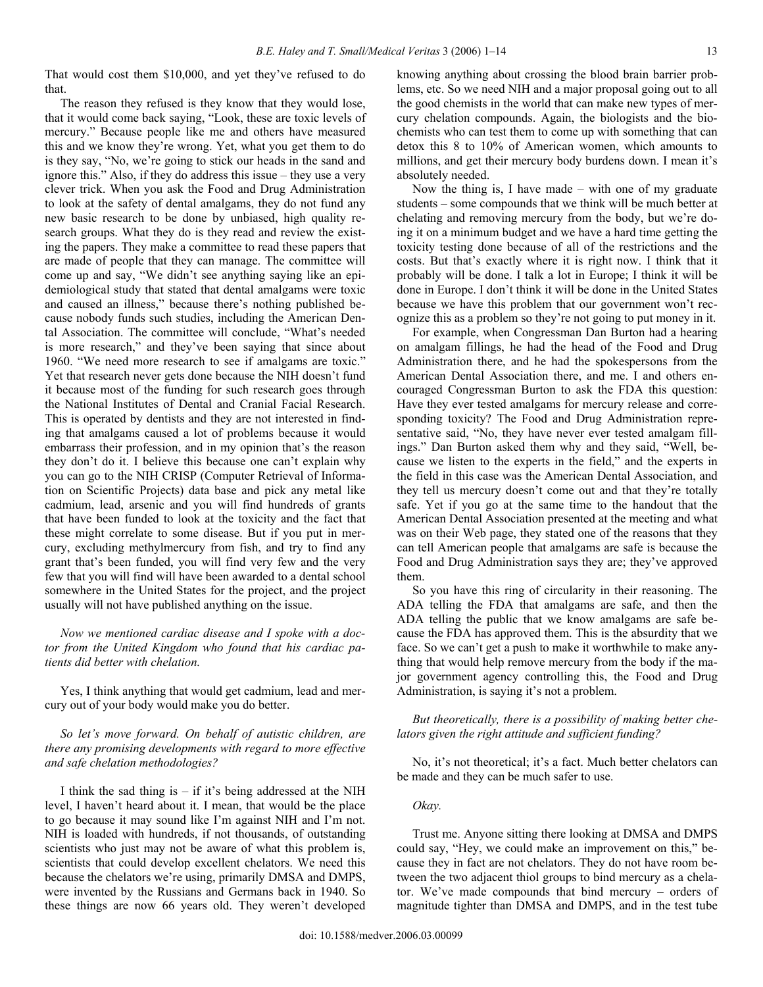That would cost them \$10,000, and yet they've refused to do that.

 The reason they refused is they know that they would lose, that it would come back saying, "Look, these are toxic levels of mercury." Because people like me and others have measured this and we know they're wrong. Yet, what you get them to do is they say, "No, we're going to stick our heads in the sand and ignore this." Also, if they do address this issue – they use a very clever trick. When you ask the Food and Drug Administration to look at the safety of dental amalgams, they do not fund any new basic research to be done by unbiased, high quality research groups. What they do is they read and review the existing the papers. They make a committee to read these papers that are made of people that they can manage. The committee will come up and say, "We didn't see anything saying like an epidemiological study that stated that dental amalgams were toxic and caused an illness," because there's nothing published because nobody funds such studies, including the American Dental Association. The committee will conclude, "What's needed is more research," and they've been saying that since about 1960. "We need more research to see if amalgams are toxic." Yet that research never gets done because the NIH doesn't fund it because most of the funding for such research goes through the National Institutes of Dental and Cranial Facial Research. This is operated by dentists and they are not interested in finding that amalgams caused a lot of problems because it would embarrass their profession, and in my opinion that's the reason they don't do it. I believe this because one can't explain why you can go to the NIH CRISP (Computer Retrieval of Information on Scientific Projects) data base and pick any metal like cadmium, lead, arsenic and you will find hundreds of grants that have been funded to look at the toxicity and the fact that these might correlate to some disease. But if you put in mercury, excluding methylmercury from fish, and try to find any grant that's been funded, you will find very few and the very few that you will find will have been awarded to a dental school somewhere in the United States for the project, and the project usually will not have published anything on the issue.

 *Now we mentioned cardiac disease and I spoke with a doctor from the United Kingdom who found that his cardiac patients did better with chelation.* 

 Yes, I think anything that would get cadmium, lead and mercury out of your body would make you do better.

 *So let's move forward. On behalf of autistic children, are there any promising developments with regard to more effective and safe chelation methodologies?* 

I think the sad thing is  $-$  if it's being addressed at the NIH level, I haven't heard about it. I mean, that would be the place to go because it may sound like I'm against NIH and I'm not. NIH is loaded with hundreds, if not thousands, of outstanding scientists who just may not be aware of what this problem is, scientists that could develop excellent chelators. We need this because the chelators we're using, primarily DMSA and DMPS, were invented by the Russians and Germans back in 1940. So these things are now 66 years old. They weren't developed

knowing anything about crossing the blood brain barrier problems, etc. So we need NIH and a major proposal going out to all the good chemists in the world that can make new types of mercury chelation compounds. Again, the biologists and the biochemists who can test them to come up with something that can detox this 8 to 10% of American women, which amounts to millions, and get their mercury body burdens down. I mean it's absolutely needed.

Now the thing is, I have made – with one of my graduate students – some compounds that we think will be much better at chelating and removing mercury from the body, but we're doing it on a minimum budget and we have a hard time getting the toxicity testing done because of all of the restrictions and the costs. But that's exactly where it is right now. I think that it probably will be done. I talk a lot in Europe; I think it will be done in Europe. I don't think it will be done in the United States because we have this problem that our government won't recognize this as a problem so they're not going to put money in it.

 For example, when Congressman Dan Burton had a hearing on amalgam fillings, he had the head of the Food and Drug Administration there, and he had the spokespersons from the American Dental Association there, and me. I and others encouraged Congressman Burton to ask the FDA this question: Have they ever tested amalgams for mercury release and corresponding toxicity? The Food and Drug Administration representative said, "No, they have never ever tested amalgam fillings." Dan Burton asked them why and they said, "Well, because we listen to the experts in the field," and the experts in the field in this case was the American Dental Association, and they tell us mercury doesn't come out and that they're totally safe. Yet if you go at the same time to the handout that the American Dental Association presented at the meeting and what was on their Web page, they stated one of the reasons that they can tell American people that amalgams are safe is because the Food and Drug Administration says they are; they've approved them.

 So you have this ring of circularity in their reasoning. The ADA telling the FDA that amalgams are safe, and then the ADA telling the public that we know amalgams are safe because the FDA has approved them. This is the absurdity that we face. So we can't get a push to make it worthwhile to make anything that would help remove mercury from the body if the major government agency controlling this, the Food and Drug Administration, is saying it's not a problem.

 *But theoretically, there is a possibility of making better chelators given the right attitude and sufficient funding?* 

 No, it's not theoretical; it's a fact. Much better chelators can be made and they can be much safer to use.

#### *Okay.*

 Trust me. Anyone sitting there looking at DMSA and DMPS could say, "Hey, we could make an improvement on this," because they in fact are not chelators. They do not have room between the two adjacent thiol groups to bind mercury as a chelator. We've made compounds that bind mercury – orders of magnitude tighter than DMSA and DMPS, and in the test tube